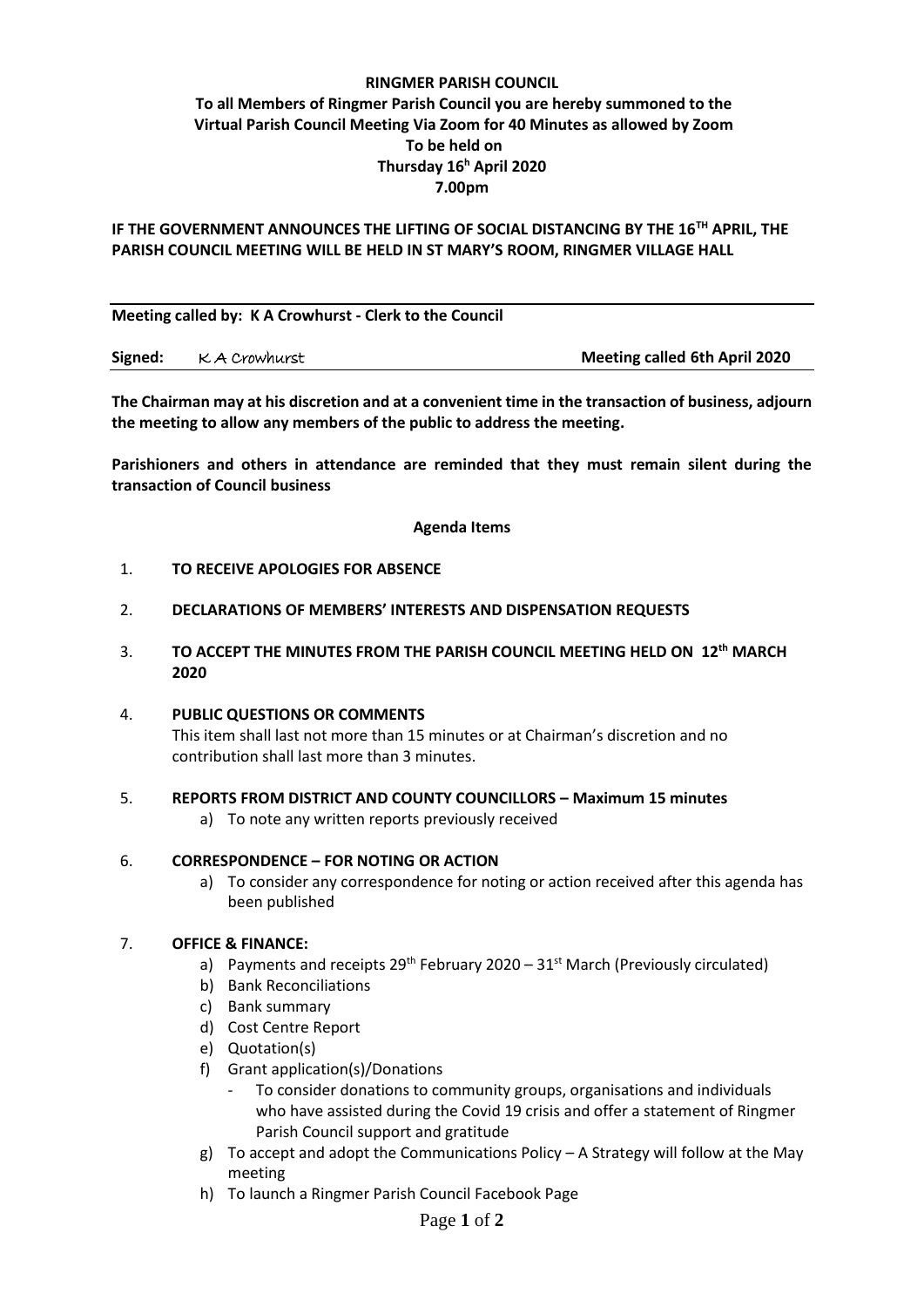## **RINGMER PARISH COUNCIL To all Members of Ringmer Parish Council you are hereby summoned to the Virtual Parish Council Meeting Via Zoom for 40 Minutes as allowed by Zoom To be held on Thursday 16<sup>h</sup> April 2020 7.00pm**

### **IF THE GOVERNMENT ANNOUNCES THE LIFTING OF SOCIAL DISTANCING BY THE 16TH APRIL, THE PARISH COUNCIL MEETING WILL BE HELD IN ST MARY'S ROOM, RINGMER VILLAGE HALL**

**Meeting called by: K A Crowhurst - Clerk to the Council** 

**Signed:** K A Crowhurst **Meeting called 6th April 2020**

**The Chairman may at his discretion and at a convenient time in the transaction of business, adjourn the meeting to allow any members of the public to address the meeting.**

**Parishioners and others in attendance are reminded that they must remain silent during the transaction of Council business**

**Agenda Items**

#### 1. **TO RECEIVE APOLOGIES FOR ABSENCE**

- 2. **DECLARATIONS OF MEMBERS' INTERESTS AND DISPENSATION REQUESTS**
- 3. **TO ACCEPT THE MINUTES FROM THE PARISH COUNCIL MEETING HELD ON 12 th MARCH 2020**

#### 4. **PUBLIC QUESTIONS OR COMMENTS**  This item shall last not more than 15 minutes or at Chairman's discretion and no contribution shall last more than 3 minutes.

#### 5. **REPORTS FROM DISTRICT AND COUNTY COUNCILLORS – Maximum 15 minutes**

a) To note any written reports previously received

# 6. **CORRESPONDENCE – FOR NOTING OR ACTION**

a) To consider any correspondence for noting or action received after this agenda has been published

#### 7. **OFFICE & FINANCE:**

- a) Payments and receipts  $29^{th}$  February 2020  $31^{st}$  March (Previously circulated)
- b) Bank Reconciliations
- c) Bank summary
- d) Cost Centre Report
- e) Quotation(s)
- f) Grant application(s)/Donations
	- To consider donations to community groups, organisations and individuals who have assisted during the Covid 19 crisis and offer a statement of Ringmer Parish Council support and gratitude
- g) To accept and adopt the Communications Policy A Strategy will follow at the May meeting
- h) To launch a Ringmer Parish Council Facebook Page